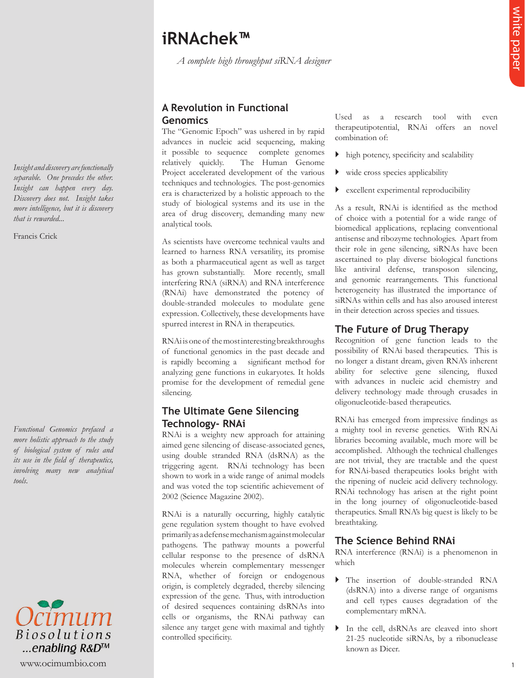# **iRNAchek™**

*A complete high throughput siRNA designer* 

## **A Revolution in Functional Genomics**

The "Genomic Epoch" was ushered in by rapid advances in nucleic acid sequencing, making it possible to sequence complete genomes relatively quickly. The Human Genome Project accelerated development of the various techniques and technologies. The post-genomics era is characterized by a holistic approach to the study of biological systems and its use in the area of drug discovery, demanding many new analytical tools.

As scientists have overcome technical vaults and learned to harness RNA versatility, its promise as both a pharmaceutical agent as well as target has grown substantially. More recently, small interfering RNA (siRNA) and RNA interference (RNAi) have demonstrated the potency of double-stranded molecules to modulate gene expression. Collectively, these developments have spurred interest in RNA in therapeutics.

RNAi is one of the most interesting breakthroughs of functional genomics in the past decade and is rapidly becoming a significant method for analyzing gene functions in eukaryotes. It holds promise for the development of remedial gene silencing.

## **The Ultimate Gene Silencing Technology- RNAi**

RNAi is a weighty new approach for attaining aimed gene silencing of disease-associated genes, using double stranded RNA (dsRNA) as the triggering agent. RNAi technology has been shown to work in a wide range of animal models and was voted the top scientific achievement of 2002 (Science Magazine 2002).

**ERNACHER<sup>W</sup>**<br>
A complete hast density of N'A degay<br>
A Revolution in Functional<br>
A complete density of N'A degay<br>
A Revolution in Functional<br>
Computer density of the system spectrum in Eq. 2014<br>
Computer density of the sy RNAi is a naturally occurring, highly catalytic gene regulation system thought to have evolved primarily as a defense mechanism against molecular pathogens. The pathway mounts a powerful cellular response to the presence of dsRNA molecules wherein complementary messenger RNA, whether of foreign or endogenous origin, is completely degraded, thereby silencing expression of the gene. Thus, with introduction of desired sequences containing dsRNAs into cells or organisms, the RNAi pathway can silence any target gene with maximal and tightly controlled specificity.

Used as a research tool with even therapeutipotential, RNAi offers an novel combination of:

- $\blacktriangleright$  high potency, specificity and scalability
- $\blacktriangleright$  wide cross species applicability
- excellent experimental reproducibility

As a result, RNAi is identified as the method of choice with a potential for a wide range of biomedical applications, replacing conventional antisense and ribozyme technologies. Apart from their role in gene silencing, siRNAs have been ascertained to play diverse biological functions like antiviral defense, transposon silencing, and genomic rearrangements. This functional heterogeneity has illustrated the importance of siRNAs within cells and has also aroused interest in their detection across species and tissues.

#### **The Future of Drug Therapy**

Recognition of gene function leads to the possibility of RNAi based therapeutics. This is no longer a distant dream, given RNA's inherent ability for selective gene silencing, fluxed with advances in nucleic acid chemistry and delivery technology made through crusades in oligonucleotide-based therapeutics.

RNAi has emerged from impressive findings as a mighty tool in reverse genetics. With RNAi libraries becoming available, much more will be accomplished. Although the technical challenges are not trivial, they are tractable and the quest for RNAi-based therapeutics looks bright with the ripening of nucleic acid delivery technology. RNAi technology has arisen at the right point in the long journey of oligonucleotide-based therapeutics. Small RNA's big quest is likely to be breathtaking.

#### **The Science Behind RNAi**

RNA interference (RNAi) is a phenomenon in which

- The insertion of double-stranded RNA (dsRNA) into a diverse range of organisms and cell types causes degradation of the complementary mRNA.
- In the cell, dsRNAs are cleaved into short 21-25 nucleotide siRNAs, by a ribonuclease known as Dicer.

*Insight and discovery are functionally separable. One precedes the other. Insight can happen every day. Discovery does not. Insight takes more intelligence, but it is discovery that is rewarded...*

Francis Crick

*Functional Genomics prefaced a more holistic approach to the study of biological system of rules and its use in the field of therapeutics, involving many new analytical tools*.

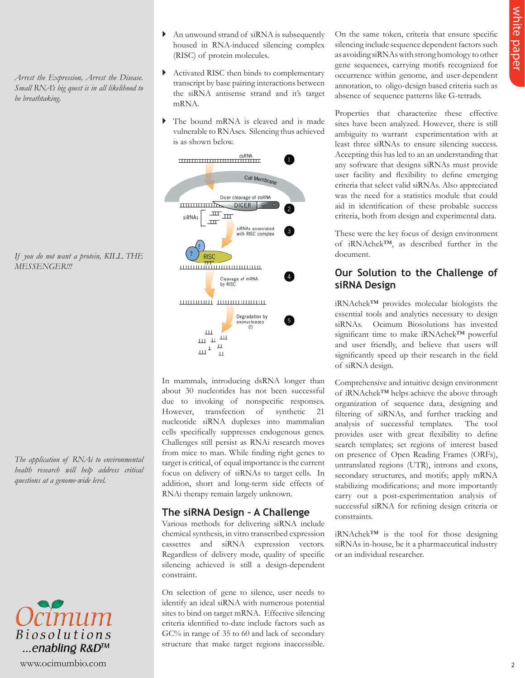*Arrest the Expression, Arrest the Disease. Small RNA's big quest is in all likelihood to be breathtaking.* 

*If you do not want a protein, KILL THE MESSENGER!!!*

*The application of RNAi to environmental health research will help address critical questions at a genome-wide level.*



- An unwound strand of siRNA is subsequently housed in RNA-induced silencing complex (RISC) of protein molecules.
- Activated RISC then binds to complementary transcript by base pairing interactions between the siRNA antisense strand and it's target mRNA.
- The bound mRNA is cleaved and is made vulnerable to RNAses. Silencing thus achieved is as shown below.



In mammals, introducing dsRNA longer than about 30 nucleotides has not been successful due to invoking of nonspecific responses. However, transfection of synthetic 21 nucleotide siRNA duplexes into mammalian cells specifically suppresses endogenous genes. Challenges still persist as RNAi research moves from mice to man. While finding right genes to target is critical, of equal importance is the current focus on delivery of siRNAs to target cells. In addition, short and long-term side effects of RNAi therapy remain largely unknown.

## **The siRNA Design – A Challenge**

Various methods for delivering siRNA include chemical synthesis, in vitro transcribed expression cassettes and siRNA expression vectors. Regardless of delivery mode, quality of specific silencing achieved is still a design-dependent constraint.

On selection of gene to silence, user needs to identify an ideal siRNA with numerous potential sites to bind on target mRNA. Effective silencing criteria identified to-date include factors such as GC% in range of 35 to 60 and lack of secondary structure that make target regions inaccessible.

On the same token, criteria that ensure specific silencing include sequence dependent factors such as avoiding siRNAs with strong homology to other gene sequences, carrying motifs recognized for occurrence within genome, and user-dependent annotation, to oligo-design based criteria such as absence of sequence patterns like G-tetrads.

Properties that characterize these effective sites have been analyzed. However, there is still ambiguity to warrant experimentation with at least three siRNAs to ensure silencing success. Accepting this has led to an an understanding that any software that designs siRNAs must provide user facility and flexibility to define emerging criteria that select valid siRNAs. Also appreciated was the need for a statistics module that could aid in identification of these probable success criteria, both from design and experimental data.

These were the key focus of design environment of iRNAchek™, as described further in the document.

## **Our Solution to the Challenge of siRNA Design**

iRNAchek™ provides molecular biologists the essential tools and analytics necessary to design siRNAs. Ocimum Biosolutions has invested significant time to make iRNAchek™ powerful and user friendly, and believe that users will significantly speed up their research in the field of siRNA design.

Comprehensive and intuitive design environment of iRNAchek™ helps achieve the above through organization of sequence data, designing and filtering of siRNAs, and further tracking and analysis of successful templates. The tool provides user with great flexibility to define search templates; set regions of interest based on presence of Open Reading Frames (ORFs), untranslated regions (UTR), introns and exons, secondary structures, and motifs; apply mRNA stabilizing modifications; and more importantly carry out a post-experimentation analysis of successful siRNA for refining design criteria or constraints.

iRNAchek™ is the tool for those designing siRNAs in-house, be it a pharmaceutical industry or an individual researcher.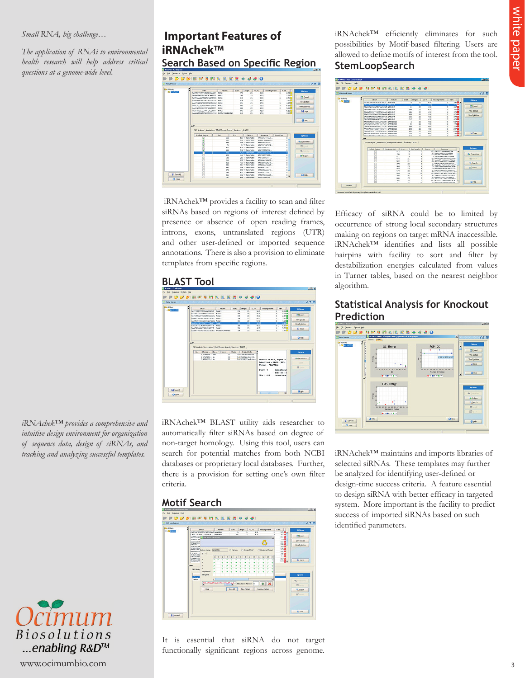#### *Small RNA, big challenge…*

*The application of RNAi to environmental health research will help address critical questions at a genome-wide level.*

## **Important Features of iRNAchek™ Search Based on Specific Region**



iRNAchek™ provides a facility to scan and filter siRNAs based on regions of interest defined by presence or absence of open reading frames, introns, exons, untranslated regions (UTR) and other user-defined or imported sequence annotations. There is also a provision to eliminate templates from specific regions.

# **BLAST Tool**



iRNAchek™ BLAST utility aids researcher to automatically filter siRNAs based on degree of non-target homology. Using this tool, users can search for potential matches from both NCBI databases or proprietary local databases. Further, there is a provision for setting one's own filter criteria.

## **Motif Search**



It is essential that siRNA do not target functionally significant regions across genome.

iRNAchek™ efficiently eliminates for such possibilities by Motif-based filtering. Users are allowed to define motifs of interest from the tool. **StemLoopSearch**



Efficacy of siRNA could be to limited by occurrence of strong local secondary structures making on regions on target mRNA inaccessible. iRNAchek™ identifies and lists all possible hairpins with facility to sort and filter by destabilization energies calculated from values in Turner tables, based on the nearest neighbor algorithm.

## **Statistical Analysis for Knockout Prediction**



iRNAchek™ maintains and imports libraries of selected siRNAs. These templates may further be analyzed for identifying user-defined or design-time success criteria. A feature essential to design siRNA with better efficacy in targeted system. More important is the facility to predict success of imported siRNAs based on such identified parameters.

*iRNAchek™ provides a comprehensive and intuitive design environment for organization of sequence data, design of siRNAs, and tracking and analyzing successful templates.*